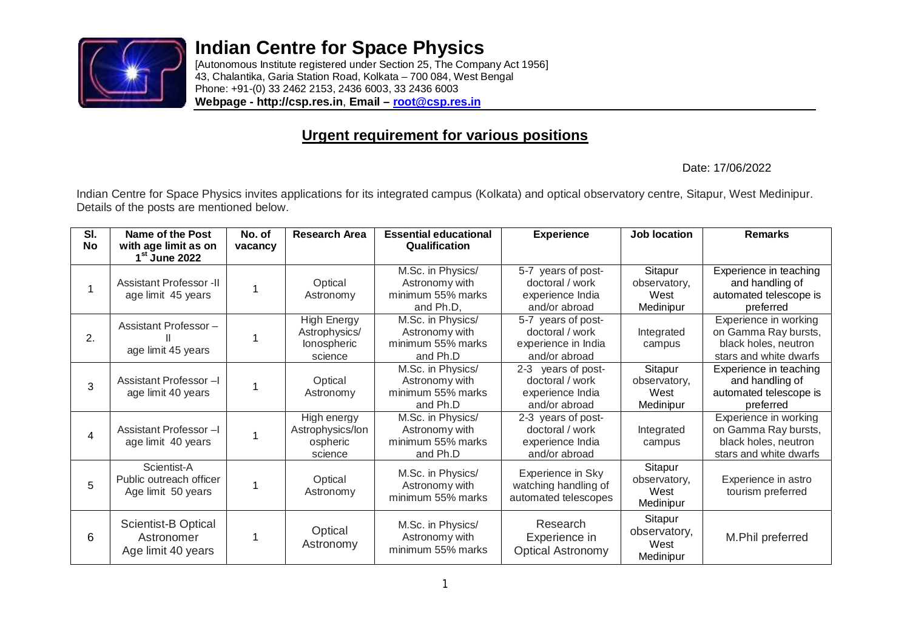

## **Indian Centre for Space Physics**

[Autonomous Institute registered under Section 25, The Company Act 1956] 43, Chalantika, Garia Station Road, Kolkata – 700 084, West Bengal Phone: +91-(0) 33 2462 2153, 2436 6003, 33 2436 6003 **Webpage - http://csp.res.in**, **Email – root@csp.res.in**

## **Urgent requirement for various positions**

Date: 17/06/2022

Indian Centre for Space Physics invites applications for its integrated campus (Kolkata) and optical observatory centre, Sitapur, West Medinipur. Details of the posts are mentioned below.

| SI.<br>No | Name of the Post<br>with age limit as on                       | No. of<br>vacancy | <b>Research Area</b>                                   | <b>Essential educational</b><br>Qualification                         | <b>Experience</b>                                                             | Job location                                 | <b>Remarks</b>                                                                                  |
|-----------|----------------------------------------------------------------|-------------------|--------------------------------------------------------|-----------------------------------------------------------------------|-------------------------------------------------------------------------------|----------------------------------------------|-------------------------------------------------------------------------------------------------|
|           | 1 <sup>st</sup> June 2022                                      |                   |                                                        |                                                                       |                                                                               |                                              |                                                                                                 |
|           | <b>Assistant Professor -II</b><br>age limit 45 years           |                   | Optical<br>Astronomy                                   | M.Sc. in Physics/<br>Astronomy with<br>minimum 55% marks<br>and Ph.D, | 5-7 years of post-<br>doctoral / work<br>experience India<br>and/or abroad    | Sitapur<br>observatory,<br>West<br>Medinipur | Experience in teaching<br>and handling of<br>automated telescope is<br>preferred                |
| 2.        | Assistant Professor-<br>age limit 45 years                     |                   | High Energy<br>Astrophysics/<br>lonospheric<br>science | M.Sc. in Physics/<br>Astronomy with<br>minimum 55% marks<br>and Ph.D  | 5-7 years of post-<br>doctoral / work<br>experience in India<br>and/or abroad | Integrated<br>campus                         | Experience in working<br>on Gamma Ray bursts,<br>black holes, neutron<br>stars and white dwarfs |
| 3         | Assistant Professor-I<br>age limit 40 years                    |                   | Optical<br>Astronomy                                   | M.Sc. in Physics/<br>Astronomy with<br>minimum 55% marks<br>and Ph.D  | 2-3 years of post-<br>doctoral / work<br>experience India<br>and/or abroad    | Sitapur<br>observatory,<br>West<br>Medinipur | Experience in teaching<br>and handling of<br>automated telescope is<br>preferred                |
| 4         | Assistant Professor-I<br>age limit 40 years                    |                   | High energy<br>Astrophysics/lon<br>ospheric<br>science | M.Sc. in Physics/<br>Astronomy with<br>minimum 55% marks<br>and Ph.D  | 2-3 years of post-<br>doctoral / work<br>experience India<br>and/or abroad    | Integrated<br>campus                         | Experience in working<br>on Gamma Ray bursts,<br>black holes, neutron<br>stars and white dwarfs |
| 5         | Scientist-A<br>Public outreach officer<br>Age limit 50 years   |                   | Optical<br>Astronomy                                   | M.Sc. in Physics/<br>Astronomy with<br>minimum 55% marks              | Experience in Sky<br>watching handling of<br>automated telescopes             | Sitapur<br>observatory,<br>West<br>Medinipur | Experience in astro<br>tourism preferred                                                        |
| 6         | <b>Scientist-B Optical</b><br>Astronomer<br>Age limit 40 years |                   | Optical<br>Astronomy                                   | M.Sc. in Physics/<br>Astronomy with<br>minimum 55% marks              | Research<br>Experience in<br><b>Optical Astronomy</b>                         | Sitapur<br>observatory,<br>West<br>Medinipur | M.Phil preferred                                                                                |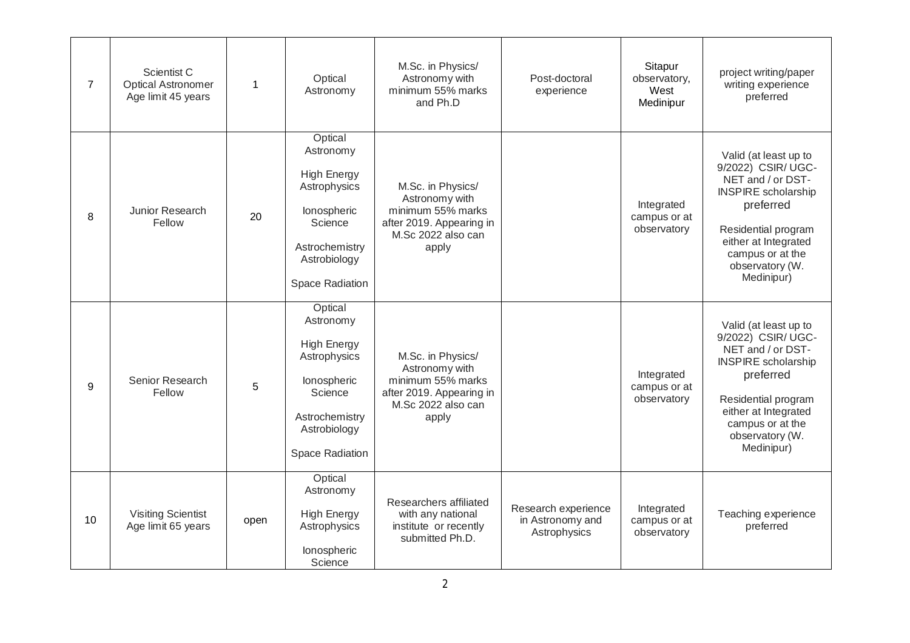| $\overline{7}$ | Scientist C<br>Optical Astronomer<br>Age limit 45 years | $\mathbf{1}$ | Optical<br>Astronomy                                                                                                                             | M.Sc. in Physics/<br>Astronomy with<br>minimum 55% marks<br>and Ph.D                                                | Post-doctoral<br>experience                             | Sitapur<br>observatory,<br>West<br>Medinipur | project writing/paper<br>writing experience<br>preferred                                                                                                                                                        |
|----------------|---------------------------------------------------------|--------------|--------------------------------------------------------------------------------------------------------------------------------------------------|---------------------------------------------------------------------------------------------------------------------|---------------------------------------------------------|----------------------------------------------|-----------------------------------------------------------------------------------------------------------------------------------------------------------------------------------------------------------------|
| 8              | Junior Research<br>Fellow                               | 20           | Optical<br>Astronomy<br><b>High Energy</b><br>Astrophysics<br>lonospheric<br>Science<br>Astrochemistry<br>Astrobiology<br>Space Radiation        | M.Sc. in Physics/<br>Astronomy with<br>minimum 55% marks<br>after 2019. Appearing in<br>M.Sc 2022 also can<br>apply |                                                         | Integrated<br>campus or at<br>observatory    | Valid (at least up to<br>9/2022) CSIR/ UGC-<br>NET and / or DST-<br><b>INSPIRE</b> scholarship<br>preferred<br>Residential program<br>either at Integrated<br>campus or at the<br>observatory (W.<br>Medinipur) |
| 9              | Senior Research<br>Fellow                               | 5            | Optical<br>Astronomy<br><b>High Energy</b><br>Astrophysics<br>lonospheric<br>Science<br>Astrochemistry<br>Astrobiology<br><b>Space Radiation</b> | M.Sc. in Physics/<br>Astronomy with<br>minimum 55% marks<br>after 2019. Appearing in<br>M.Sc 2022 also can<br>apply |                                                         | Integrated<br>campus or at<br>observatory    | Valid (at least up to<br>9/2022) CSIR/ UGC-<br>NET and / or DST-<br><b>INSPIRE</b> scholarship<br>preferred<br>Residential program<br>either at Integrated<br>campus or at the<br>observatory (W.<br>Medinipur) |
| 10             | <b>Visiting Scientist</b><br>Age limit 65 years         | open         | Optical<br>Astronomy<br><b>High Energy</b><br>Astrophysics<br>lonospheric<br>Science                                                             | Researchers affiliated<br>with any national<br>institute or recently<br>submitted Ph.D.                             | Research experience<br>in Astronomy and<br>Astrophysics | Integrated<br>campus or at<br>observatory    | Teaching experience<br>preferred                                                                                                                                                                                |